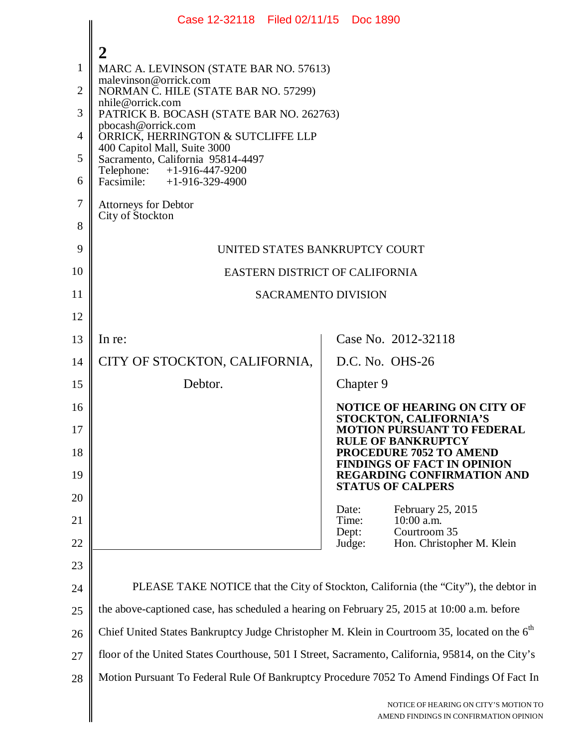|                | Case 12-32118 Filed 02/11/15 Doc 1890                                                                                         |                                                                                           |  |
|----------------|-------------------------------------------------------------------------------------------------------------------------------|-------------------------------------------------------------------------------------------|--|
|                | 2                                                                                                                             |                                                                                           |  |
| 1              | MARC A. LEVINSON (STATE BAR NO. 57613)                                                                                        |                                                                                           |  |
| $\overline{2}$ | malevinson@orrick.com<br>NORMAN C. HILE (STATE BAR NO. 57299)                                                                 |                                                                                           |  |
| 3              | nhile@orrick.com<br>PATRICK B. BOCASH (STATE BAR NO. 262763)                                                                  |                                                                                           |  |
| $\overline{4}$ | pbocash@orrick.com<br>ORRICK, HERRINGTON & SUTCLIFFE LLP<br>400 Capitol Mall, Suite 3000<br>Sacramento, California 95814-4497 |                                                                                           |  |
| 5              |                                                                                                                               |                                                                                           |  |
| 6              | Telephone: +1-916-447-9200<br>Facsimile: $+1-916-329-4900$                                                                    |                                                                                           |  |
| $\tau$         | <b>Attorneys for Debtor</b>                                                                                                   |                                                                                           |  |
| 8              | City of Stockton                                                                                                              |                                                                                           |  |
| 9              | UNITED STATES BANKRUPTCY COURT                                                                                                |                                                                                           |  |
| 10             | EASTERN DISTRICT OF CALIFORNIA                                                                                                |                                                                                           |  |
| 11             | <b>SACRAMENTO DIVISION</b>                                                                                                    |                                                                                           |  |
| 12             |                                                                                                                               |                                                                                           |  |
| 13             | In re:                                                                                                                        | Case No. 2012-32118                                                                       |  |
| 14             | CITY OF STOCKTON, CALIFORNIA,                                                                                                 | D.C. No. OHS-26                                                                           |  |
| 15             | Debtor.                                                                                                                       | Chapter 9                                                                                 |  |
| 16             |                                                                                                                               | NOTICE OF HEARING ON CITY OF<br>STOCKTON, CALIFORNIA'S                                    |  |
| 17<br>18       |                                                                                                                               | <b>MOTION PURSUANT TO FEDERAL</b><br><b>RULE OF BANKRUPTCY</b><br>PROCEDURE 7052 TO AMEND |  |
| 19             |                                                                                                                               | <b>FINDINGS OF FACT IN OPINION</b><br><b>REGARDING CONFIRMATION AND</b>                   |  |
| 20             |                                                                                                                               | <b>STATUS OF CALPERS</b>                                                                  |  |
| 21             |                                                                                                                               | February 25, 2015<br>Date:<br>10:00 a.m.<br>Time:                                         |  |
| 22             |                                                                                                                               | Courtroom 35<br>Dept:<br>Hon. Christopher M. Klein<br>Judge:                              |  |
| 23             |                                                                                                                               |                                                                                           |  |
| 24             | PLEASE TAKE NOTICE that the City of Stockton, California (the "City"), the debtor in                                          |                                                                                           |  |
| 25             | the above-captioned case, has scheduled a hearing on February 25, 2015 at 10:00 a.m. before                                   |                                                                                           |  |
| 26             | Chief United States Bankruptcy Judge Christopher M. Klein in Courtroom 35, located on the 6 <sup>th</sup>                     |                                                                                           |  |
| 27             | floor of the United States Courthouse, 501 I Street, Sacramento, California, 95814, on the City's                             |                                                                                           |  |
| 28             | Motion Pursuant To Federal Rule Of Bankruptcy Procedure 7052 To Amend Findings Of Fact In                                     |                                                                                           |  |
|                |                                                                                                                               | NOTICE OF HEARING ON CITY'S MOTION TO<br>AMEND FINDINGS IN CONFIRMATION OPINION           |  |